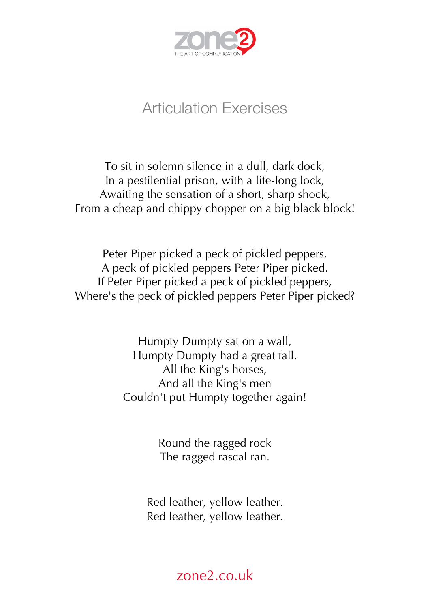

## Articulation Exercises

To sit in solemn silence in a dull, dark dock, In a pestilential prison, with a life-long lock, Awaiting the sensation of a short, sharp shock, From a cheap and chippy chopper on a big black block!

Peter Piper picked a peck of pickled peppers. A peck of pickled peppers Peter Piper picked. If Peter Piper picked a peck of pickled peppers, Where's the peck of pickled peppers Peter Piper picked?

> Humpty Dumpty sat on a wall, Humpty Dumpty had a great fall. All the King's horses, And all the King's men Couldn't put Humpty together again!

> > Round the ragged rock The ragged rascal ran.

Red leather, yellow leather. Red leather, yellow leather.

 $zone2.co.uk$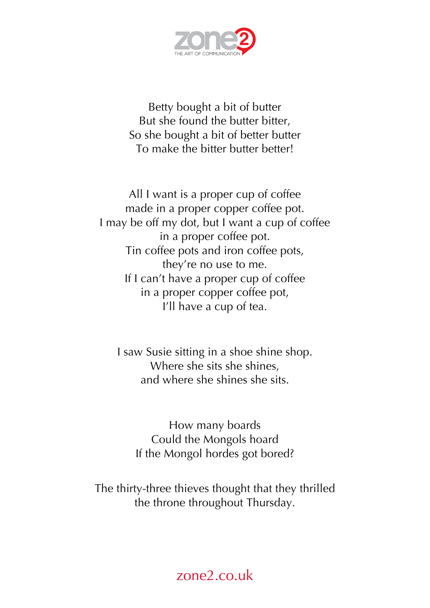

Betty bought a bit of butter But she found the butter bitter, So she bought a bit of better butter To make the bitter butter better!

All I want is a proper cup of coffee made in a proper copper coffee pot. I may be off my dot, but I want a cup of coffee in a proper coffee pot. Tin coffee pots and iron coffee pots, they're no use to me. If I can't have a proper cup of coffee in a proper copper coffee pot, I'll have a cup of tea.

I saw Susie sitting in a shoe shine shop. Where she sits she shines, and where she shines she sits.

How many boards Could the Mongols hoard If the Mongol hordes got bored?

The thirty-three thieves thought that they thrilled the throne throughout Thursday.

## $zone2.co.uk$